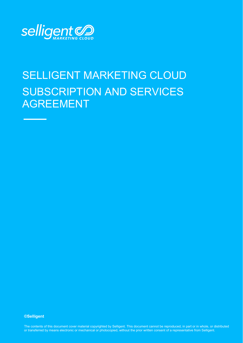

# SELLIGENT MARKETING CLOUD SUBSCRIPTION AND SERVICES AGREEMENT

#### **©Selligent**

or transferred by means electronic or mechanical or photocopied, without the prior written consent of a representative from Selligent. The contents of this document cover material copyrighted by Selligent. This document cannot be reproduced, in part or in whole, or distributed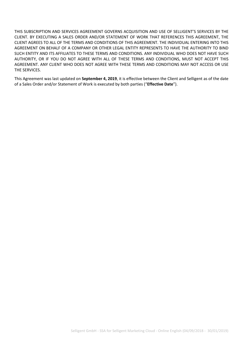THIS SUBSCRIPTION AND SERVICES AGREEMENT GOVERNS ACQUISITION AND USE OF SELLIGENT'S SERVICES BY THE CLIENT. BY EXECUTING A SALES ORDER AND/OR STATEMENT OF WORK THAT REFERENCES THIS AGREEMENT, THE CLIENT AGREES TO ALL OF THE TERMS AND CONDITIONS OF THIS AGREEMENT. THE INDIVIDUAL ENTERING INTO THIS AGREEMENT ON BEHALF OF A COMPANY OR OTHER LEGAL ENTITY REPRESENTS TO HAVE THE AUTHORITY TO BIND SUCH ENTITY AND ITS AFFILIATES TO THESE TERMS AND CONDITIONS. ANY INDIVIDUAL WHO DOES NOT HAVE SUCH AUTHORITY, OR IF YOU DO NOT AGREE WITH ALL OF THESE TERMS AND CONDITIONS, MUST NOT ACCEPT THIS AGREEMENT. ANY CLIENT WHO DOES NOT AGREE WITH THESE TERMS AND CONDITIONS MAY NOT ACCESS OR USE THE SERVICES.

This Agreement was last updated on **September 4, 2019**, it is effective between the Client and Selligent as of the date of a Sales Order and/or Statement of Work is executed by both parties ("**Effective Date**").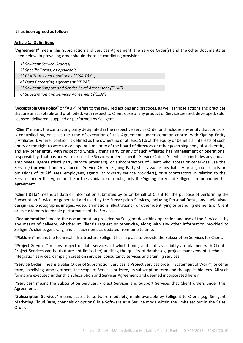### **It has been agreed as follows**:

#### **Article 1.- Definitions**

**"Agreement"** means this Subscription and Services Agreement, the Service Order(s) and the other documents as listed below, in prevailing order should there be conflicting provisions.

| 1° Selligent Service Order(s)                            |  |
|----------------------------------------------------------|--|
| 2° Specific Terms, as applicable                         |  |
| 3° CSA Terms and Conditions ("CSA T&C")                  |  |
| 4° Data Processing Agreement ("DPA")                     |  |
| 5° Selligent Support and Service Level Agreement ("SLA") |  |
| 6° Subscription and Services Agreement ("SSA")           |  |

**"Acceptable Use Policy"** or **"AUP"** refers to the required actions and practices, as well as those actions and practices that are unacceptable and prohibited, with respect to Client's use of any product or Service created, developed, sold, licensed, delivered, supplied or performed by Selligent.

**"Client"** means the contracting party designated in the respective Service Order and includes any entity that controls, is controlled by, or is, at the time of execution of this Agreement, under common control with Signing Entity ("Affiliates"), where "control" is defined as the ownership of at least 51% of the equity or beneficial interests of such entity or the right to vote for or appoint a majority of the board of directors or other governing body of such entity, and any other entity with respect to which Signing Party or any of such Affiliates has management or operational responsibility, that has access to or use the Services under a specific Service Order. "Client" also includes any and all employees, agents (third party service providers), or subcontractors of Client who access or otherwise use the Service(s) provided under a specific Service Order. Signing Party shall assume any liability arising out of acts or omissions of its Affiliates, employees, agents (third-party service providers), or subcontractors in relation to the Services under this Agreement. For the avoidance of doubt, only the Signing Party and Selligent are bound by the Agreement.

**"Client Data"** means all data or information submitted by or on behalf of Client for the purpose of performing the Subscription Service, or generated and used by the Subscription Services, including Personal Data , any audio-visual design (i.e. photographic images, video, animations, illustrations), or other identifying or branding elements of Client or its customers to enable performance of the Services.

**"Documentation"** means the documentation provided by Selligent describing operation and use of the Service(s), by any means of delivery, whether at Client's request or otherwise, along with any other information provided to Selligent's clients generally, and all such items as updated from time to time.

**"Platform"** means the technical infrastructure Selligent has in place to provide the Subscription Services for Client.

**"Project Services"** means project or data services, of which timing and staff availability are planned with Client. Project Services can be (but are not limited to) auditing the quality of databases, project management, technical integration services, campaign creation services, consultancy services and training services.

**"Service Order"** means a Sales Order of Subscription Services, a Project Services order ("Statement of Work") or other form, specifying, among others, the scope of Services ordered, its subscription term and the applicable fees. All such forms are executed under this Subscription and Services Agreement and deemed incorporated herein.

**"Services"** means the Subscription Services, Project Services and Support Services that Client orders under this Agreement.

**"Subscription Services"** means access to software module(s) made available by Selligent to Client (e.g. Selligent Marketing Cloud Base, channels or options) in a Software as a Service mode within the limits set out in the Sales Order.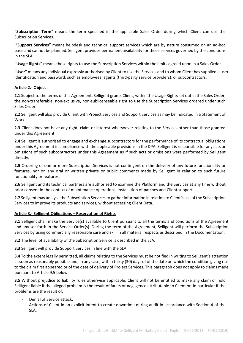**"Subscription Term"** means the term specified in the applicable Sales Order during which Client can use the Subscription Services.

**"Support Services"** means helpdesk and technical support services which are by nature consumed on an ad-hoc basis and cannot be planned. Selligent provides permanent availability for those services governed by the conditions in the SLA.

**"Usage Rights"** means those rights to use the Subscription Services within the limits agreed upon in a Sales Order.

**"User"** means any individual expressly authorised by Client to use the Services and to whom Client has supplied a user identification and password, such as employees, agents (third-party service providers), or subcontractors.

### **Article 2.- Object**

**2.1** Subject to the terms of this Agreement, Selligent grants Client, within the Usage Rights set out in the Sales Order, the non-transferable, non-exclusive, non-sublicenseable right to use the Subscription Services ordered under such Sales Order.

**2.2** Selligent will also provide Client with Project Services and Support Services as may be indicated in a Statement of Work.

**2.3** Client does not have any right, claim or interest whatsoever relating to the Services other than those granted under this Agreement.

**2.4** Selligent is authorised to engage and exchange subcontractors for the performance of its contractual obligations under this Agreement in compliance with the applicable provisions in the DPA. Selligent is responsible for any acts or omissions of such subcontractors under this Agreement as if such acts or omissions were performed by Selligent directly.

**2.5** Ordering of one or more Subscription Services is not contingent on the delivery of any future functionality or features, nor on any oral or written private or public comments made by Selligent in relation to such future functionality or features.

**2.6** Selligent and its technical partners are authorised to examine the Platform and the Services at any time without prior consent in the context of maintenance operations, installation of patches and Client support.

**2.7** Selligent may analyse the Subscription Services to gather information in relation to Client's use of the Subscription Services to improve its products and services, without accessing Client Data.

#### **Article 3.- Selligent Obligations – Reservation of Rights**

**3.1** Selligent shall make the Service(s) available to Client pursuant to all the terms and conditions of the Agreement and any set forth in the Service Order(s). During the term of the Agreement, Selligent will perform the Subscription Services by using commercially reasonable care and skill in all material respects as described in the Documentation.

**3.2** The level of availability of the Subscription Service is described in the SLA.

**3.3** Selligent will provide Support Services in line with the SLA.

**3.4** To the extent legally permitted, all claims relating to the Services must be notified in writing to Selligent's attention as soon as reasonably possible and, in any case, within thirty (30) days of of the date on which the condition giving rise to the claim first appeared or of the date of delivery of Project Services. This paragraph does not apply to claims made pursuant to Article 9.5 below.

**3.5** Without prejudice to liability rules otherwise applicable, Client will not be entitled to make any claim or hold Selligent liable if the alleged problem is the result of faults or negligence attributable to Client or, in particular if the problems are the result of:

- Denial of Service attack;
- Actions of Client in an explicit intent to create downtime during audit in accordance with Section 4 of the SLA.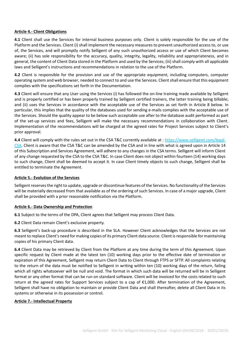### **Article 4.- Client Obligations**

**4.1** Client shall use the Services for internal business purposes only. Client is solely responsible for the use of the Platform and the Services. Client (i) shall implement the necessary measures to prevent unauthorized access to, or use of, the Services, and will promptly notify Selligent of any such unauthorized access or use of which Client becomes aware; (ii) has sole responsibility for the accuracy, quality, integrity, legality, reliability and appropriateness, and in general, the content of Client Data stored in the Platform and used by the Services; (iii) shall comply with all applicable laws and Selligent's instructions and recommendations in relation to the use of the Platform.

**4.2** Client is responsible for the provision and use of the appropriate equipment, including computers, computer operating system and web browser, needed to connect to and use the Services. Client shall ensure that this equipment complies with the specifications set forth in the Documentation.

**4.3** Client will ensure that any User using the Services (i) has followed the on-line training made available by Selligent and is properly certified or has been properly trained by Selligent certified trainers, the latter training being billable; and (ii) uses the Services in accordance with the acceptable use of the Services as set forth in Article 8 below. In particular, this implies that the quality of the databases used for sending e-mails complies with the acceptable use of the Services. Should the quality appear to be below such acceptable use after to the database audit performed as part of the set-up services and fees, Selligent will make the necessary recommendations in collaboration with Client. Implementation of the recommendations will be charged at the agreed rates for Project Services subject to Client's prior approval.

**4.4** Client will comply with the rules set out in the CSA T&C currently available at [: https://www.selligent.com/legal-](https://www.selligent.com/legal-CSA)[CSA.](https://www.selligent.com/legal-CSA) Client is aware that the CSA T&C can be amended by the CSA and in line with what is agreed upon in Article 14 of this Subscription and Services Agreement, will adhere to any changes in the CSA terms. Selligent will inform Client of any change requested by the CSA to the CSA T&C. In case Client does not object within fourteen (14) working days to such change, Client shall be deemed to accept it. In case Client timely objects to such change, Selligent shall be entitled to terminate the Agreement.

#### **Article 5.- Evolution of the Services**

Selligent reserves the right to update, upgrade or discontinue features of the Services. No functionality of the Services will be materially decreased from that available as of the ordering of such Services. In case of a major upgrade, Client shall be provided with a prior reasonable notification via the Platform.

#### **Article 6.- Data Ownership and Protection**

**6.1** Subject to the terms of the DPA, Client agrees that Selligent may process Client Data.

**6.2** Client Data remain Client's exclusive property.

**6.3** Selligent's back-up procedure is described in the SLA. However Client acknowledges that the Services are not meant to replace Client's need for making copies of its primary Client data source. Client is responsible for maintaining copies of his primary Client data.

**6.4** Client Data may be retrieved by Client from the Platform at any time during the term of this Agreement. Upon specific request by Client made at the latest ten (10) working days prior to the effective date of termination or expiration of this Agreement, Selligent may return Client Data to Client through FTPS or SFTP. All complaints relating to the return of the data must be notified to Selligent in writing within ten (10) working days of the return, failing which all rights whatsoever will be null and void. The format in which such data will be returned will be in Selligent format or any other format that can be run on standard software. Client will be invoiced for the costs related to such return at the agreed rates for Support Services subject to a cap of €1,000. After termination of the Agreement, Selligent shall have no obligation to maintain or provide Client Data and shall thereafter, delete all Client Data in its systems or otherwise in its possession or control.

#### **Article 7.- Intellectual Property**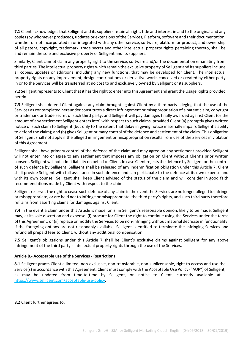**7.1** Client acknowledges that Selligent and its suppliers retain all right, title and interest in and to the original and any copies (by whomever produced), updates or extensions of the Services, Platform, software and their documentation, whether or not incorporated in or integrated with any other service, software, platform or product, and ownership of all patent, copyright, trademark, trade secret and other intellectual property rights pertaining thereto, shall be and remain the sole and exclusive property of Selligent and its suppliers.

Similarly, Client cannot claim any property right to the service, software and/or the documentation emanating from third parties. The intellectual property rights which remain the exclusive property of Selligent and its suppliers include all copies, updates or additions, including any new functions, that may be developed for Client. The intellectual property rights on any improvement, design contributions or derivative works conceived or created by either party in or to the Services will be transferred at no cost to and exclusively owned by Selligent or its suppliers.

**7.2** Selligent represents to Client that it has the right to enter into this Agreement and grant the Usage Rights provided herein.

**7.3** Selligent shall defend Client against any claim brought against Client by a third party alleging that the use of the Services as contemplated hereunder constitutes a direct infringement or misappropriation of a patent claim, copyright or trademark or trade secret of such third party, and Selligent will pay damages finally awarded against Client (or the amount of any settlement Selligent enters into) with respect to such claims, provided Client (a) promptly gives written notice of such claim to Selligent (but only to the extent that delay in giving notice materially impairs Selligent's ability to defend the claim); and (b) gives Selligent primary control of the defence and settlement of the claim. This obligation of Selligent shall not apply if the alleged infringement or misappropriation results from use of the Services in violation of this Agreement.

Selligent shall have primary control of the defence of the claim and may agree on any settlement provided Selligent will not enter into or agree to any settlement that imposes any obligation on Client without Client's prior written consent. Selligent will not admit liability on behalf of Client. In case Client rejects the defence by Selligent or the control of such defence by Selligent, Selligent shall be released of any indemnification obligation under this Article 7. Client shall provide Selligent with full assistance in such defence and can participate to the defence at its own expense and with its own counsel. Selligent shall keep Client advised of the status of the claim and will consider in good faith recommendations made by Client with respect to the claim.

Selligent reserves the right to cease such defence of any claim in the event the Services are no longer alleged to infringe or misappropriate, or are held not to infringe or misappropriate, the third party's rights, and such third party therefore refrains from asserting claims for damages against Client.

**7.4** In the event a claim under this Article is made, or is, in Selligent's reasonable opinion, likely to be made, Selligent may, at its sole discretion and expense: (i) procure for Client the right to continue using the Services under the terms of this Agreement; or (ii) replace or modify the Services to be non-infringing without material decrease in functionality. If the foregoing options are not reasonably available, Selligent is entitled to terminate the infringing Services and refund all prepaid fees to Client, without any additional compensation.

**7.5** Selligent's obligations under this Article 7 shall be Client's exclusive claims against Selligent for any above infringement of the third party's intellectual property rights through the use of the Services.

## **Article 8.- Acceptable use of the Services - Restrictions**

**8.1** Selligent grants Client a limited, non-exclusive, non-transferable, non-sublicensable, right to access and use the Service(s) in accordance with this Agreement. Client must comply with the Acceptable Use Policy ("AUP") of Selligent, as may be updated from time-to-time by Selligent, on notice to Client, currently available at : [https://www.selligent.com/acceptable-use-policy.](https://selligent.com/acceptable-use-policy)

**8.2** Client further agrees to: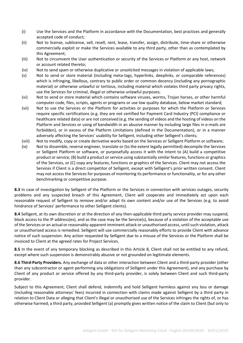- (i) Use the Services and the Platform in accordance with the Documentation, best practices and generally accepted code of conduct;
- (ii) Not to license, sublicense, sell, resell, rent, lease, transfer, assign, distribute, time-share or otherwise commercially exploit or make the Services available to any third party, other than as contemplated by this Agreement;
- (iii) Not to circumvent the User authentication or security of the Services or Platform or any host, network or account related thereto;
- (iv) Not to send spam or otherwise duplicative or unsolicited messages in violation of applicable laws;
- (v) Not to send or store material (including meta-tags, hyperlinks, deeplinks, or comparable references) which is infringing, libellous, contrary to public order or common decency (including any pornographic material) or otherwise unlawful or tortious, including material which violates third party privacy rights, use the Services for criminal, illegal or otherwise unlawful purposes;
- (vi) Not to send or store material which contains software viruses, worms, Trojan horses, or other harmful computer code, files, scripts, agents or programs or use low quality database, below market standard;
- (vii) Not to use the Services or the Platform for activities or purposes for which the Platform or Services require specific certifications (e.g. they are not certified for Payment Card Industry (PCI) compliance or healthcare related data) or are not conceived (e.g. the sending of videos and the hosting of videos on the Platform and Services or using of bandwidth in an abusive manner by including large files in e-mails are forbidden), or in excess of the Platform Limitations (defined in the Documentation), or in a manner adversely affecting the Services' usability for Selligent, including other Selligent's clients;
- (viii) Not to modify, copy or create derivative works based on the Services or Selligent Platform or software;
- (ix) Not to dissemble, reverse engineer, translate or (to the extent legally permitted) decompile the Services or Selligent Platform or software, or purposefully access it with the intent to (A) build a competitive product or service, (B) build a product or service using substantially similar features, functions or graphics of the Services, or (C) copy any features, functions or graphics of the Services. Client may not access the Services if Client is a direct competitor of Selligent, except with Selligent's prior written consent. Client may not access the Services for purposes of monitoring its performance or functionality, or for any other benchmarking or competitive purpose.

**8.3** In case of investigation by Selligent of the Platform or the Services in connection with services outages, security problems and any suspected breach of this Agreement, Client will cooperate and immediately act upon each reasonable request of Selligent to remove and/or adapt its own content and/or use of the Services (e.g. to avoid hindrance of Services' performance to other Selligent clients).

**8.4** Selligent, at its own discretion or at the direction of any then-applicable third party service provider may suspend, block access to the IP address(es), and as the case may be the Service(s), because of a violation of the acceptable use of the Services or an actual or reasonably-apparent imminent attack or unauthorised access, until such violation, attack or unauthorised access is remedied. Selligent will use commercially reasonably efforts to provide Client with advance notice of such suspension. Any action requested by Selligent due to a misuse of the Services or the Platform shall be invoiced to Client at the agreed rates for Project Services.

**8.5** In the event of any temporary blocking as described in this Article 8, Client shall not be entitled to any refund, except where such suspension is demonstrably abusive or not grounded on legitimate elements.

**8.6 Third-Party Providers.** Any exchange of data or other interaction between Client and a third-party provider (other than any subcontractor or agent performing any obligations of Selligent under this Agreement), and any purchase by Client of any product or service offered by any third-party provider, is solely between Client and such third-party provider.

Subject to this Agreement, Client shall defend, indemnify and hold Selligent harmless against any loss or damage (including reasonable attorneys' fees) incurred in connection with claims made against Selligent by a third party in relation to Client Data or alleging that Client's illegal or unauthorised use of the Services infringes the rights of, or has otherwise harmed, a third party, provided Selligent (a) promptly gives written notice of the claim to Client (but only to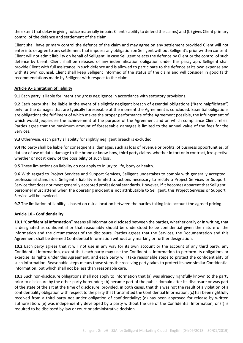the extent that delay in giving notice materially impairs Client's ability to defend the claims) and (b) gives Client primary control of the defence and settlement of the claim.

Client shall have primary control the defence of the claim and may agree on any settlement provided Client will not enter into or agree to any settlement that imposes any obligation on Selligent without Selligent's prior written consent. Client will not admit liability on behalf of Selligent. In case Selligent rejects the defence by Client or the control of such defence by Client, Client shall be released of any indemnification obligation under this paragraph. Selligent shall provide Client with full assistance in such defence and is allowed to participate to the defence at its own expense and with its own counsel. Client shall keep Selligent informed of the status of the claim and will consider in good faith recommendations made by Selligent with respect to the claim.

## **Article 9.- Limitation of liability**

**9.1** Each party is liable for intent and gross negligence in accordance with statutory provisions.

**9.2** Each party shall be liable in the event of a slightly negligent breach of essential obligations ("Kardinalpflichten") only for the damages that are typically foreseeable at the moment the Agreement is concluded. Essential obligations are obligations the fulfilment of which makes the proper performance of the Agreement possible, the infringement of which would jeopardise the achievement of the purpose of the Agreement and on which compliance Client relies. Parties agree that the maximum amount of foreseeable damages is limited to the annual value of the fees for the Services.

**9.3** Otherwise, each party's liability for slightly negligent breach is excluded.

**9.4** No party shall be liable for consequential damages, such as loss of revenue or profits, of business opportunities, of data or of use of data, damage to the brand or know-how, third party claims, whether in tort or in contract, irrespective whether or not it knew of the possibility of such loss.

**9.5** These limitations on liability do not apply to injury to life, body or health.

**9.6** With regard to Project Services and Support Services, Selligent undertakes to comply with generally accepted professional standards. Selligent's liability is limited to actions necessary to rectify a Project Services or Support Service that does not meet generally accepted professional standards. However, if it becomes apparent that Selligent personnel must attend when the operating incident is not attributable to Selligent, this Project Services or Support Service will be invoiced.

**9.7** The limitation of liability is based on risk allocation between the parties taking into account the agreed pricing.

#### **Article 10.- Confidentiality**

**10.1** "**Confidential Information**" means all information disclosed between the parties, whether orally or in writing, that is designated as confidential or that reasonably should be understood to be confidential given the nature of the information and the circumstances of the disclosure. Parties agrees that the Services, the Documentation and this Agreement shall be deemed Confidential Information without any marking or further designation.

**10.2** Each party agrees that it will not use in any way for its own account or the account of any third party, any Confidential Information, except that each party may use the Confidential Information to perform its obligations or exercise its rights under this Agreement, and each party will take reasonable steps to protect the confidentiality of such information. Reasonable steps means those steps the receiving party takes to protect its own similar Confidential Information, but which shall not be less than reasonable care.

**10.3** Such non-disclosure obligations shall not apply to information that (a) was already rightfully known to the party prior to disclosure by the other party hereunder; (b) became part of the public domain after its disclosure or was part of the state of the art at the time of disclosure, provided, in both cases, that this was not the result of a violation of a confidentiality obligation with respect to the party that transmitted the Confidential Information; (c) has been rightfully received from a third party not under obligation of confidentiality; (d) has been approved for release by written authorisation; (e) was independently developed by a party without the use of the Confidential Information; or (f) is required to be disclosed by law or court or administrative decision.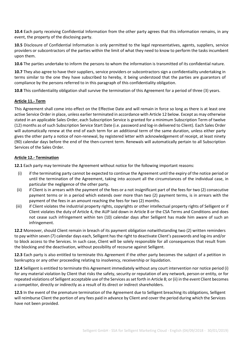**10.4** Each party receiving Confidential Information from the other party agrees that this information remains, in any event, the property of the disclosing party.

**10.5** Disclosure of Confidential Information is only permitted to the legal representatives, agents, suppliers, service providers or subcontractors of the parties within the limit of what they need to know to perform the tasks incumbent upon them.

**10.6** The parties undertake to inform the persons to whom the information is transmitted of its confidential nature.

**10.7** They also agree to have their suppliers, service providers or subcontractors sign a confidentiality undertaking in terms similar to the one they have subscribed to hereby, it being understood that the parties are guarantors of compliance by the persons referred to in this paragraph of this confidentiality obligation.

**10.8** This confidentiality obligation shall survive the termination of this Agreement for a period of three (3) years.

### **Article 11.- Term**

This Agreement shall come into effect on the Effective Date and will remain in force so long as there is at least one active Service Order in place, unless earlier terminated in accordance with Article 12 below. Except as may otherwise stated in an applicable Sales Order, each Subscription Service is granted for a minimum Subscription Term of twelve (12) months as of such Subscription Service Start Date (i.e. password and log-in delivered to Client). Each Sales Order will automatically renew at the end of each term for an additional term of the same duration, unless either party gives the other party a notice of non-renewal, by registered letter with acknowledgement of receipt, at least ninety (90) calendar days before the end of the then-current term. Renewals will automatically pertain to all Subscription Services of the Sales Order.

### **Article 12.- Termination**

**12.1** Each party may terminate the Agreement without notice for the following important reasons:

- (i) if the terminating party cannot be expected to continue the Agreement until the expiry of the notice period or until the termination of the Agreement, taking into account all the circumstances of the individual case, in particular the negligence of the other party.
- (ii) if Client is in arrears with the payment of the fees or a not insignificant part of the fees for two (2) consecutive payment terms or in a period which extends over more than two (2) payment terms, is in arrears with the payment of the fees in an amount reaching the fees for two (2) months.
- (iii) if Client violates the industrial property rights, copyrights or other intellectual property rights of Selligent or if Client violates the duty of Article 4, the AUP laid down in Article 8 or the CSA Terms and Conditions and does not cease such infringement within ten (10) calendar days after Selligent has made him aware of such an infringement.

**12.2** Moreover, should Client remain in breach of its payment obligation notwithstanding two (2) written reminders to pay within seven (7) calendar days each, Selligent has the right to deactivate Client's passwords and log-ins and/or to block access to the Services. In such case, Client will be solely responsible for all consequences that result from the blocking and the deactivation, without possibility of recourse against Selligent.

**12.3** Each party is also entitled to terminate this Agreement if the other party becomes the subject of a petition in bankruptcy or any other proceeding relating to insolvency, receivership or liquidation.

**12.4** Selligent is entitled to terminate this Agreement immediately without any court intervention nor notice period (i) for any material violation by Client that risks the safety, security or reputation of any network, person or entity, or for repeated violations of Selligent acceptable use of the Services as set forth in Article 8; or (ii) in the event Client becomes a competitor, directly or indirectly as a result of its direct or indirect shareholders.

**12.5** In the event of the premature termination of the Agreement due to Selligent breaching its obligations, Selligent will reimburse Client the portion of any fees paid in advance by Client and cover the period during which the Services have not been provided.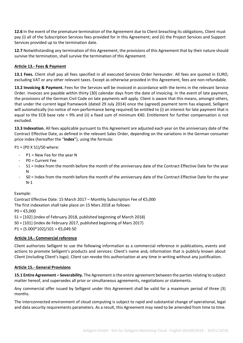**12.6** In the event of the premature termination of the Agreement due to Client breaching its obligations, Client must pay (i) all of the Subscription Services fees provided for in this Agreement; and (ii) the Project Services and Support Services provided up to the termination date.

**12.7** Notwithstanding any termination of this Agreement, the provisions of this Agreement that by their nature should survive the termination, shall survive the termination of this Agreement.

## **Article 13.- Fees & Payment**

**13.1 Fees.** Client shall pay all fees specified in all executed Services Order hereunder. All fees are quoted in EURO, excluding VAT or any other relevant taxes. Except as otherwise provided in this Agreement, fees are non-refundable.

**13.2 Invoicing & Payment.** Fees for the Services will be invoiced in accordance with the terms in the relevant Service Order. Invoices are payable within thirty (30) calendar days from the date of invoicing. In the event of late payment, the provisions of the German Civil Code on late payments will apply. Client is aware that this means, amongst others, that under the current legal framework (dated 29 July 2014) once the (agreed) payment term has elapsed, Selligent will automatically (no notice of non-performance being required) be entitled to (i) an interest for late payment that is equal to the ECB base rate + 9% and (ii) a fixed sum of minimum €40. Entitlement for further compensation is not excluded.

**13.3 Indexation.** All fees applicable pursuant to this Agreement are adjusted each year on the anniversary date of the Contract Effective Date, as defined in the relevant Sales Order, depending on the variations in the German consumer price index (hereafter the "**Index**"), using the formula:

P1 = (P0 X S1)/S0 where:

- $P1$  = New Fee for the year N
- P0 = Current Fee
- S1 = Index from the month before the month of the anniversary date of the Contract Effective Date for the year N
- S0 = Index from the month before the month of the anniversary date of the Contract Effective Date for the year N-1

Example:

Contract Effective Date: 15 March 2017 – Monthly Subscription Fee of €5,000 The first indexation shall take place on 15 Mars 2018 as follows:  $PO = £5,000$ S1 = [102] (index of February 2018, published beginning of March 2018) S0 = [101] (index de February 2017, published beginning of Mars 2017)  $P1 = (5.000*102)/101 = \text{\textsterling}5,049.50$ 

## **Article 14.- Commercial reference**

Client authorizes Selligent to use the following information as a commercial reference in publications, events and actions to promote Selligent's products and services: Client's name and, information that is publicly known about Client (including Client's logo). Client can revoke this authorization at any time in writing without any justification.

#### **Article 15.- General Provisions**

**15.1 Entire Agreement – Severability.** The Agreement is the entire agreement between the parties relating to subject matter hereof, and supersedes all prior or simultaneous agreements, negotiations or statements.

Any commercial offer issued by Selligent under this Agreement shall be valid for a maximum period of three (3) months.

The interconnected environment of cloud computing is subject to rapid and substantial change of operational, legal and data security requirements parameters. As a result, this Agreement may need to be amended from time to time.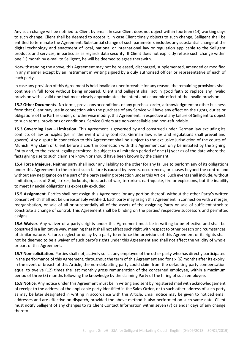Any such change will be notified to Client by email. In case Client does not object within fourteen (14) working days to such change, Client shall be deemed to accept it. In case Client timely objects to such change, Selligent shall be entitled to terminate the Agreement. Substantial change of such parameters includes any substantial change of the digital technology and enactment of local, national or international law or regulation applicable to the Selligent products and services, in particular as regards data security. If Client does not explicitly refuse such change within one (1) month by e-mail to Selligent, he will be deemed to agree therewith.

Notwithstanding the above, this Agreement may not be released, discharged, supplemented, amended or modified in any manner except by an instrument in writing signed by a duly authorised officer or representative of each of each party.

In case any provision of this Agreement is held invalid or unenforceable for any reason, the remaining provisions shall continue in full force without being impaired. Client and Selligent shall act in good faith to replace any invalid provision with a valid one that most closely approximates the intent and economic effect of the invalid provision.

**15.2 Other Documents**. No terms, provisions or conditions of any purchase order, acknowledgment or other business form that Client may use in connection with the purchase of any Service will have any effect on the rights, duties or obligations of the Parties under, or otherwise modify, this Agreement, irrespective of any failure of Selligent to object to such terms, provisions or conditions. Service Orders are non-cancellable and non-refundable.

**15.3 Governing Law – Limitation.** This Agreement is governed by and construed under German law excluding its conflicts of law principles (i.e. in the event of any conflicts, German law, rules and regulations shall prevail and govern). Any dispute in connection to this Agreement shall be subject to the exclusive jurisdiction of the courts of Munich. Any claim of Client before a court in connection with this Agreement can only be initiated by the Signing Entity and, to the extent legally permitted, is subject to a limitation period of one (1) year as of the date where the facts giving rise to such claim are known or should have been known by the claimant.

**15.4 Force Majeure.** Neither party shall incur any liability to the other for any failure to perform any of its obligations under this Agreement to the extent such failure is caused by events, occurrences, or causes beyond the control and without any negligence on the part of the party seeking protection under this Article. Such events shall include, without limitation, acts of God, strikes, lockouts, riots, acts of war, terrorism, earthquake, fire or explosions, but the inability to meet financial obligations is expressly excluded.

**15.5 Assignment.** Parties shall not assign this Agreement (or any portion thereof) without the other Party's written consent which shall not be unreasonably withheld. Each party may assign this Agreement in connection with a merger, reorganisation, or sale of all or substantially all of the assets of the assigning Party or sale of sufficient stock to constitute a change of control. This Agreement shall be binding on the parties' respective successors and permitted assigns.

**15.6 Waiver.** Any waiver of a party's rights under this Agreement must be in writing to be effective and shall be construed in a limitative way, meaning that it shall not affect such right with respect to other breach or circumstances of similar nature. Failure, neglect or delay by a party to enforce the provisions of this Agreement or its rights shall not be deemed to be a waiver of such party's rights under this Agreement and shall not affect the validity of whole or part of this Agreement.

**15.7 Non-solicitation.** Parties shall not, actively solicit any employee of the other party who has directly participated in the performance of this Agreement, throughout the term of this Agreement and for six (6) months after its expiry. In the event of breach of this Article, the non-defaulting party could claim from the defaulting party compensation equal to twelve (12) times the last monthly gross remuneration of the concerned employee, within a maximum period of three (3) months following the knowledge by the claiming Party of the hiring of such employee.

**15.8 Notice.** Any notice under this Agreement must be in writing and sent by registered mail with acknowledgement of receipt to the address of the applicable party identified in the Sales Order, or to such other address of such party as may be later designated in writing in accordance with this Article. Email notice may be given to noticed email addresses and are effective on dispatch, provided the above method is also performed on such same date. Client must notify Selligent of any changes to its Client Contact Information within seven (7) calendar days of any change thereto.